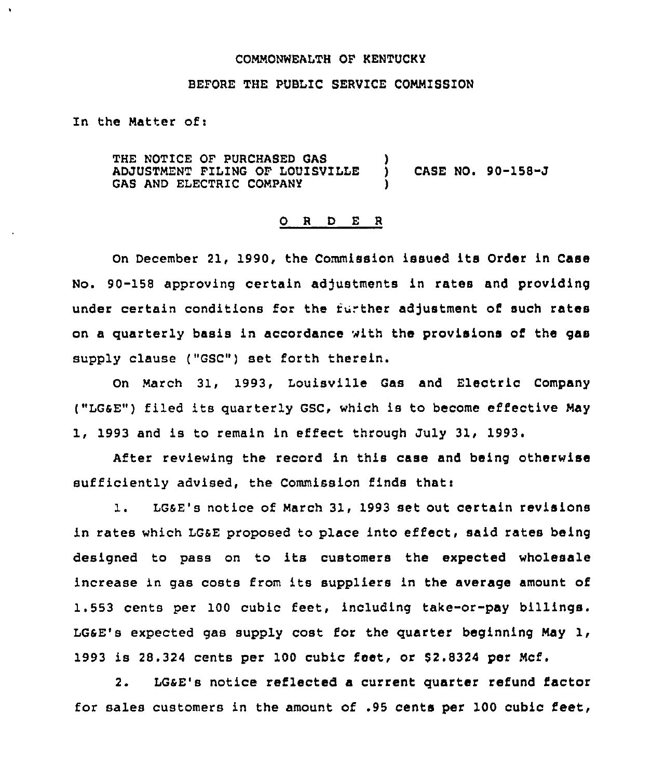### COMMONNEALTH OF KENTUCKY

## BEFORE THE PUBLIC SERVICE COMMISSION

In the Matter of:

À

THE NOTICE OF PURCHASED GAS ADJUSTMENT FILING OF LOUISVILLE GAS AND ELECTRIC COMPANY ) ) CASE NO <sup>~</sup> 90-158-J )

#### O R D E R

On December 21, 1990, the Commission issued its Order in Case No. 90-158 approving certain adjustments in rates and providing under certain conditions for the further adjustment of such rates on a quarterly basis in accordance with the provisions of the gas supply clause ("GSC") set forth therein.

On March 31, 1993, Louisville Gas and Electric Company ("LGSE") filed its quarterly GSC, which is to become effective May 1, 1993 and is to remain in effect through July 31, 1993.

After reviewing the record in this case and being otherwise sufficiently advised, the Commission finds that:

1. LGsE's notice of March 31, 1993 set out certain revisions in rates which LGsE proposed to place into effect, said rates being designed to pass on to its customers the expected wholesale increase in gas costs from its suppliers in the average amount of 1.553 cents per 100 cubic feet, including take-or-pay billings. LGSE's expected gas supply cost for the quarter beginning May 1, 1993 is 28.324 cents per 100 cubic feet, or \$2.8324 per Mcf.

2. LGsE's notice reflected a current quarter refund factor for sales customers in the amount of .95 cents per 100 cubic feet,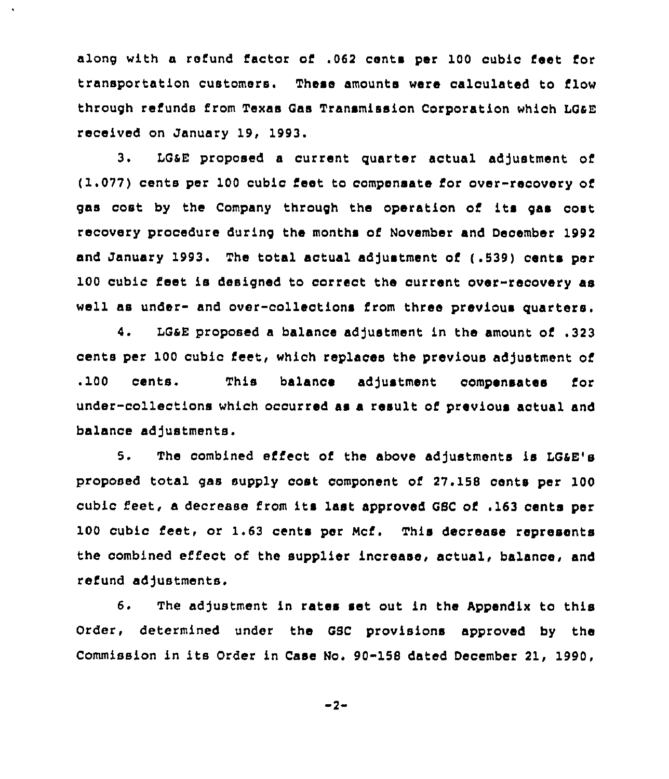along with a refund factor of .062 cents per 100 cubic feet for transportation customers. These amounts were calculated to flow through refunds from Texas Gas Transmission corporation which LGsE received on January 19, 1993.

 $\bullet$ 

3. LG&E proposed a current quarter actual adjustment of (1.077) cents per 100 cubic feet to compensate for over-recovery of gas cost by the Company through the operation of its gas oost recovery procedure during the months of November and December 1992 and January 1993. The total actual adjustment of (.539) cents per 100 cubic feet is designed to correct the current over-recovery as well as under- and over-colleotions from three previous quarters.

4. LG&E proposed a balance adjustment in the amount of .323 cents per 100 cubic feet, which replaces the previous adjustment of .100 cents. This balance adjustment compensates for under-collections which occurred as a result of previous actual and balance adjustments.

5. The combined effect of the above adjustments is LG&E's proposed total gas supply cost component of 27. 158 cents per 100 cubic feet, <sup>a</sup> decrease from its last approved GSC of .<sup>163</sup> cents per 100 cubic feet, or 1.63 cents per Mcf. This decrease represents the combined effect of the supplier increase, actual, balance, and refund adjustments.

6. The adjustment in rates set out in the Appendix to this Order, determined under the GSC provisions approved by the Commission in its Order in Case No. 90-158 dated December 21, 1990,

 $-2-$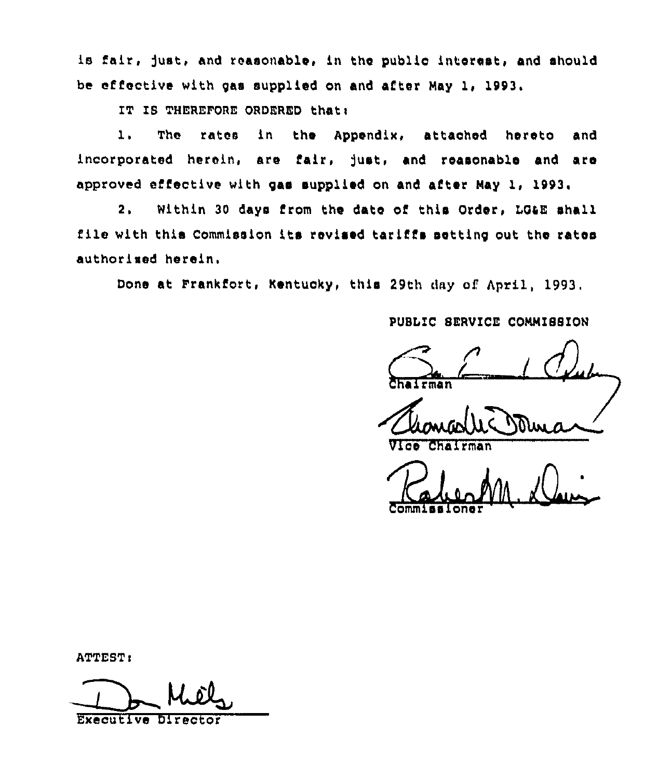is fair, just, and reasonable, in the public interest, and should be effective with 9as supplied on and after Nay 1, 1993.

IT IS THEREFORE ORDERED that:

1, The rates in the Appendix, attached hereto and incorporated herein, are fair, Just, and reasonable and are approved effective with 9as supplied on and after Nay 1, 1993.

2. Within 30 days from the date of this Order, LQaE shall file with this Commission its revised tariffs setting out the rates authorised herein.

Done at Frankfort, Kentucky, this 29th day of April, 1993.

PUBLIC 8ERVICE CONNI88ION

 $\sum_{\text{the term }n}$ Chairma

halrman

Commissione  $1/2$ 

ATTEST:

Executive Director